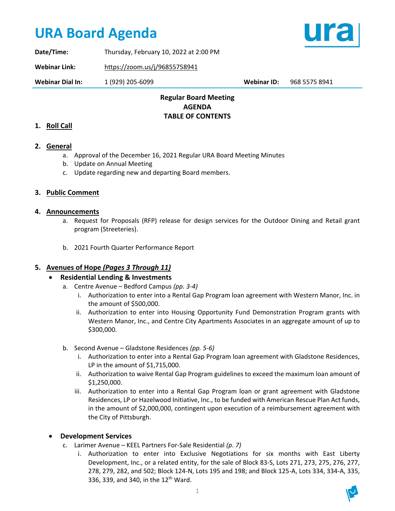# **URA Board Agenda**



**Date/Time:** Thursday, February 10, 2022 at 2:00 PM

**Webinar Link:** https://zoom.us/j/96855758941

**Webinar Dial In:** 1 (929) 205-6099 **Webinar ID:** 968 5575 8941

## **Regular Board Meeting AGENDA TABLE OF CONTENTS**

## **1. Roll Call**

## **2. General**

- a. Approval of the December 16, 2021 Regular URA Board Meeting Minutes
- b. Update on Annual Meeting
- c. Update regarding new and departing Board members.

## **3. Public Comment**

### **4. Announcements**

- a. Request for Proposals (RFP) release for design services for the Outdoor Dining and Retail grant program (Streeteries).
- b. 2021 Fourth Quarter Performance Report

## **5. Avenues of Hope** *(Pages 3 Through 11)*

## • **Residential Lending & Investments**

- a. Centre Avenue Bedford Campus *(pp. 3-4)*
	- i. Authorization to enter into a Rental Gap Program loan agreement with Western Manor, Inc. in the amount of \$500,000.
	- ii. Authorization to enter into Housing Opportunity Fund Demonstration Program grants with Western Manor, Inc., and Centre City Apartments Associates in an aggregate amount of up to \$300,000.
- b. Second Avenue Gladstone Residences *(pp. 5-6)*
	- i. Authorization to enter into a Rental Gap Program loan agreement with Gladstone Residences, LP in the amount of \$1,715,000.
	- ii. Authorization to waive Rental Gap Program guidelines to exceed the maximum loan amount of \$1,250,000.
	- iii. Authorization to enter into a Rental Gap Program loan or grant agreement with Gladstone Residences, LP or Hazelwood Initiative, Inc., to be funded with American Rescue Plan Act funds, in the amount of \$2,000,000, contingent upon execution of a reimbursement agreement with the City of Pittsburgh.

## • **Development Services**

- c. Larimer Avenue KEEL Partners For-Sale Residential *(p. 7)*
	- i. Authorization to enter into Exclusive Negotiations for six months with East Liberty Development, Inc., or a related entity, for the sale of Block 83-S, Lots 271, 273, 275, 276, 277, 278, 279, 282, and 502; Block 124-N, Lots 195 and 198; and Block 125-A, Lots 334, 334-A, 335, 336, 339, and 340, in the 12<sup>th</sup> Ward.

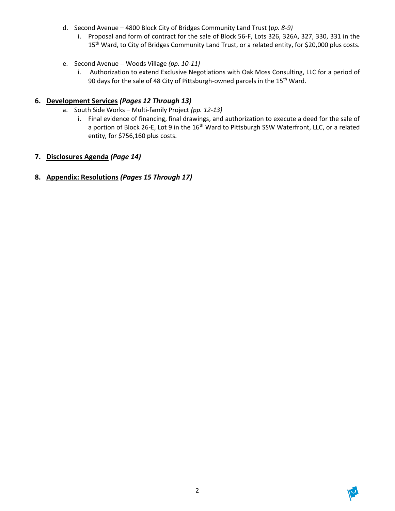- d. Second Avenue 4800 Block City of Bridges Community Land Trust (*pp. 8-9)*
	- i. Proposal and form of contract for the sale of Block 56-F, Lots 326, 326A, 327, 330, 331 in the 15<sup>th</sup> Ward, to City of Bridges Community Land Trust, or a related entity, for \$20,000 plus costs.
- e. Second Avenue − Woods Village *(pp. 10-11)*
	- i. Authorization to extend Exclusive Negotiations with Oak Moss Consulting, LLC for a period of 90 days for the sale of 48 City of Pittsburgh-owned parcels in the 15<sup>th</sup> Ward.

## **6. Development Services** *(Pages 12 Through 13)*

- a. South Side Works Multi-family Project *(pp. 12-13)*
	- i. Final evidence of financing, final drawings, and authorization to execute a deed for the sale of a portion of Block 26-E, Lot 9 in the 16<sup>th</sup> Ward to Pittsburgh SSW Waterfront, LLC, or a related entity, for \$756,160 plus costs.

## **7. Disclosures Agenda** *(Page 14)*

## **8. Appendix: Resolutions** *(Pages 15 Through 17)*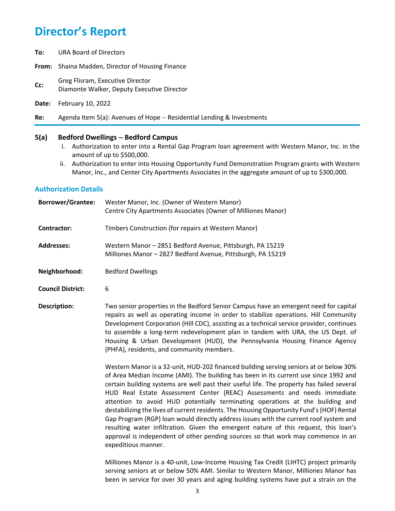**To:** URA Board of Directors

**From:** Shaina Madden, Director of Housing Finance

- **CC:** Greg Flisram, Executive Director Diamonte Walker, Deputy Executive Director
- **Date:** February 10, 2022
- **Re:** Agenda Item 5(a): Avenues of Hope − Residential Lending & Investments

#### **5(a) Bedford Dwellings** − **Bedford Campus**

- i. Authorization to enter into a Rental Gap Program loan agreement with Western Manor, Inc. in the amount of up to \$500,000.
- ii. Authorization to enter into Housing Opportunity Fund Demonstration Program grants with Western Manor, Inc., and Center City Apartments Associates in the aggregate amount of up to \$300,000.

#### **Authorization Details**

| <b>Borrower/Grantee:</b> | Wester Manor, Inc. (Owner of Western Manor)<br>Centre City Apartments Associates (Owner of Milliones Manor)                                                                                                                                                                                                                                                                                                                              |
|--------------------------|------------------------------------------------------------------------------------------------------------------------------------------------------------------------------------------------------------------------------------------------------------------------------------------------------------------------------------------------------------------------------------------------------------------------------------------|
| <b>Contractor:</b>       | Timbers Construction (for repairs at Western Manor)                                                                                                                                                                                                                                                                                                                                                                                      |
| <b>Addresses:</b>        | Western Manor - 2851 Bedford Avenue, Pittsburgh, PA 15219<br>Milliones Manor - 2827 Bedford Avenue, Pittsburgh, PA 15219                                                                                                                                                                                                                                                                                                                 |
| Neighborhood:            | <b>Bedford Dwellings</b>                                                                                                                                                                                                                                                                                                                                                                                                                 |
| <b>Council District:</b> | 6                                                                                                                                                                                                                                                                                                                                                                                                                                        |
| Description:             | Two senior properties in the Bedford Senior Campus have an emergent need for capital<br>repairs as well as operating income in order to stabilize operations. Hill Community<br>Development Corporation (Hill CDC), assisting as a technical service provider, continues<br>to assemble a long-term redevelopment plan in tandem with URA, the US Dept. of<br>Housing & Urban Development (HUD), the Pennsylvania Housing Finance Agency |

(PHFA), residents, and community members.

Western Manor is a 32-unit, HUD-202 financed building serving seniors at or below 30% of Area Median Income (AMI). The building has been in its current use since 1992 and certain building systems are well past their useful life. The property has failed several HUD Real Estate Assessment Center (REAC) Assessments and needs immediate attention to avoid HUD potentially terminating operations at the building and destabilizing the lives of current residents. The Housing Opportunity Fund's (HOF) Rental Gap Program (RGP) loan would directly address issues with the current roof system and resulting water infiltration. Given the emergent nature of this request, this loan's approval is independent of other pending sources so that work may commence in an expeditious manner.

Milliones Manor is a 40-unit, Low-Income Housing Tax Credit (LIHTC) project primarily serving seniors at or below 50% AMI. Similar to Western Manor, Milliones Manor has been in service for over 30 years and aging building systems have put a strain on the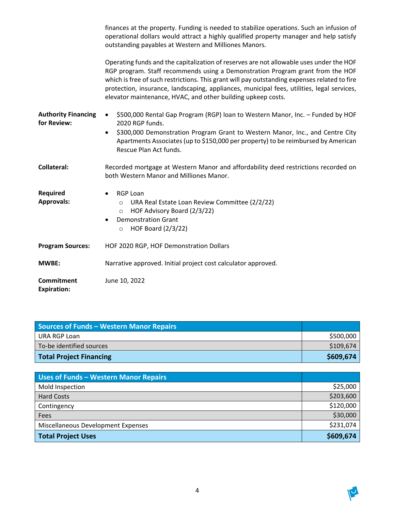|                                           | finances at the property. Funding is needed to stabilize operations. Such an infusion of<br>operational dollars would attract a highly qualified property manager and help satisfy<br>outstanding payables at Western and Milliones Manors.                                                                                                                                                                                             |
|-------------------------------------------|-----------------------------------------------------------------------------------------------------------------------------------------------------------------------------------------------------------------------------------------------------------------------------------------------------------------------------------------------------------------------------------------------------------------------------------------|
|                                           | Operating funds and the capitalization of reserves are not allowable uses under the HOF<br>RGP program. Staff recommends using a Demonstration Program grant from the HOF<br>which is free of such restrictions. This grant will pay outstanding expenses related to fire<br>protection, insurance, landscaping, appliances, municipal fees, utilities, legal services,<br>elevator maintenance, HVAC, and other building upkeep costs. |
| <b>Authority Financing</b><br>for Review: | \$500,000 Rental Gap Program (RGP) loan to Western Manor, Inc. - Funded by HOF<br>$\bullet$<br>2020 RGP funds.                                                                                                                                                                                                                                                                                                                          |
|                                           | \$300,000 Demonstration Program Grant to Western Manor, Inc., and Centre City<br>$\bullet$<br>Apartments Associates (up to \$150,000 per property) to be reimbursed by American<br>Rescue Plan Act funds.                                                                                                                                                                                                                               |
| <b>Collateral:</b>                        | Recorded mortgage at Western Manor and affordability deed restrictions recorded on<br>both Western Manor and Milliones Manor.                                                                                                                                                                                                                                                                                                           |
| Required<br><b>Approvals:</b>             | <b>RGP Loan</b><br>URA Real Estate Loan Review Committee (2/2/22)<br>$\circ$<br>HOF Advisory Board (2/3/22)<br>$\circ$<br><b>Demonstration Grant</b><br>٠<br><b>HOF Board (2/3/22)</b><br>$\circ$                                                                                                                                                                                                                                       |
| <b>Program Sources:</b>                   | HOF 2020 RGP, HOF Demonstration Dollars                                                                                                                                                                                                                                                                                                                                                                                                 |
| <b>MWBE:</b>                              | Narrative approved. Initial project cost calculator approved.                                                                                                                                                                                                                                                                                                                                                                           |
| Commitment<br><b>Expiration:</b>          | June 10, 2022                                                                                                                                                                                                                                                                                                                                                                                                                           |

| <b>Sources of Funds - Western Manor Repairs</b> |           |
|-------------------------------------------------|-----------|
| URA RGP Loan                                    | \$500,000 |
| To-be identified sources                        | \$109,674 |
| <b>Total Project Financing</b>                  | \$609,674 |

| Uses of Funds - Western Manor Repairs |           |
|---------------------------------------|-----------|
| Mold Inspection                       | \$25,000  |
| <b>Hard Costs</b>                     | \$203,600 |
| Contingency                           | \$120,000 |
| Fees                                  | \$30,000  |
| Miscellaneous Development Expenses    | \$231,074 |
| Total Project Uses                    | \$609,674 |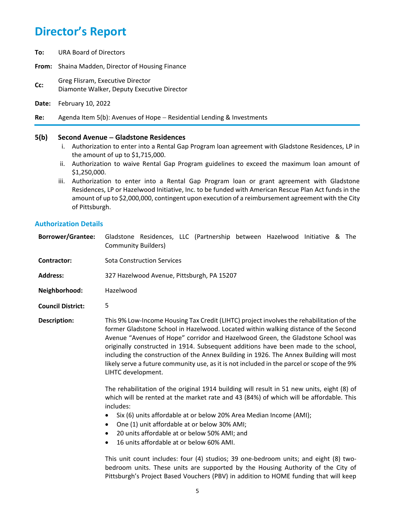**To:** URA Board of Directors

**From:** Shaina Madden, Director of Housing Finance

- **CC:** Greg Flisram, Executive Director Diamonte Walker, Deputy Executive Director
- **Date:** February 10, 2022

**Re:** Agenda Item 5(b): Avenues of Hope − Residential Lending & Investments

### **5(b) Second Avenue** − **Gladstone Residences**

- i. Authorization to enter into a Rental Gap Program loan agreement with Gladstone Residences, LP in the amount of up to \$1,715,000.
- ii. Authorization to waive Rental Gap Program guidelines to exceed the maximum loan amount of \$1,250,000.
- iii. Authorization to enter into a Rental Gap Program loan or grant agreement with Gladstone Residences, LP or Hazelwood Initiative, Inc. to be funded with American Rescue Plan Act funds in the amount of up to \$2,000,000, contingent upon execution of a reimbursement agreement with the City of Pittsburgh.

### **Authorization Details**

| <b>Borrower/Grantee:</b> | Gladstone Residences, LLC (Partnership between Hazelwood Initiative & The<br><b>Community Builders)</b>                                                                                                                                                                                                                                                                                                                                                                                                                                                                                                                                                               |  |
|--------------------------|-----------------------------------------------------------------------------------------------------------------------------------------------------------------------------------------------------------------------------------------------------------------------------------------------------------------------------------------------------------------------------------------------------------------------------------------------------------------------------------------------------------------------------------------------------------------------------------------------------------------------------------------------------------------------|--|
| <b>Contractor:</b>       | <b>Sota Construction Services</b>                                                                                                                                                                                                                                                                                                                                                                                                                                                                                                                                                                                                                                     |  |
| <b>Address:</b>          | 327 Hazelwood Avenue, Pittsburgh, PA 15207                                                                                                                                                                                                                                                                                                                                                                                                                                                                                                                                                                                                                            |  |
| Neighborhood:            | Hazelwood                                                                                                                                                                                                                                                                                                                                                                                                                                                                                                                                                                                                                                                             |  |
| <b>Council District:</b> | 5                                                                                                                                                                                                                                                                                                                                                                                                                                                                                                                                                                                                                                                                     |  |
| <b>Description:</b>      | This 9% Low-Income Housing Tax Credit (LIHTC) project involves the rehabilitation of the<br>former Gladstone School in Hazelwood. Located within walking distance of the Second<br>Avenue "Avenues of Hope" corridor and Hazelwood Green, the Gladstone School was<br>originally constructed in 1914. Subsequent additions have been made to the school,<br>including the construction of the Annex Building in 1926. The Annex Building will most<br>likely serve a future community use, as it is not included in the parcel or scope of the 9%<br>LIHTC development.<br>The rehabilitation of the original 1914 building will result in 51 new units, eight (8) of |  |
|                          | which will be rented at the market rate and 43 (84%) of which will be affordable. This<br>includes:                                                                                                                                                                                                                                                                                                                                                                                                                                                                                                                                                                   |  |

- Six (6) units affordable at or below 20% Area Median Income (AMI);
- One (1) unit affordable at or below 30% AMI;
- 20 units affordable at or below 50% AMI; and
- 16 units affordable at or below 60% AMI.

This unit count includes: four (4) studios; 39 one-bedroom units; and eight (8) twobedroom units. These units are supported by the Housing Authority of the City of Pittsburgh's Project Based Vouchers (PBV) in addition to HOME funding that will keep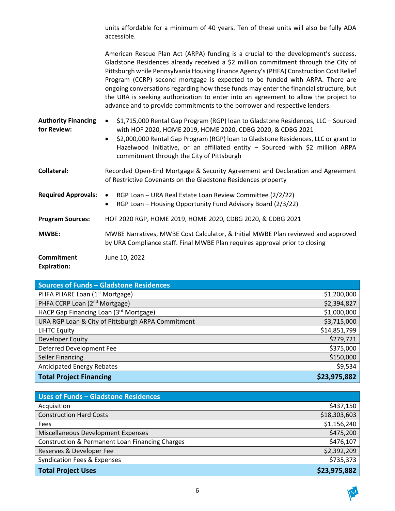units affordable for a minimum of 40 years. Ten of these units will also be fully ADA accessible.

American Rescue Plan Act (ARPA) funding is a crucial to the development's success. Gladstone Residences already received a \$2 million commitment through the City of Pittsburgh while Pennsylvania Housing Finance Agency's(PHFA) Construction Cost Relief Program (CCRP) second mortgage is expected to be funded with ARPA. There are ongoing conversations regarding how these funds may enter the financial structure, but the URA is seeking authorization to enter into an agreement to allow the project to advance and to provide commitments to the borrower and respective lenders.

- **Authority Financing for Review:**  • \$1,715,000 Rental Gap Program (RGP) loan to Gladstone Residences, LLC – Sourced with HOF 2020, HOME 2019, HOME 2020, CDBG 2020, & CDBG 2021
	- \$2,000,000 Rental Gap Program (RGP) loan to Gladstone Residences, LLC or grant to Hazelwood Initiative, or an affiliated entity – Sourced with \$2 million ARPA commitment through the City of Pittsburgh
- **Collateral:** Recorded Open-End Mortgage & Security Agreement and Declaration and Agreement of Restrictive Covenants on the Gladstone Residences property

| <b>Required Approvals: •</b>     | RGP Loan - URA Real Estate Loan Review Committee (2/2/22)<br>RGP Loan - Housing Opportunity Fund Advisory Board (2/3/22)<br>$\bullet$                           |
|----------------------------------|-----------------------------------------------------------------------------------------------------------------------------------------------------------------|
| <b>Program Sources:</b>          | HOF 2020 RGP, HOME 2019, HOME 2020, CDBG 2020, & CDBG 2021                                                                                                      |
| <b>MWBE:</b>                     | MWBE Narratives, MWBE Cost Calculator, & Initial MWBE Plan reviewed and approved<br>by URA Compliance staff. Final MWBE Plan requires approval prior to closing |
| Commitment<br><b>Expiration:</b> | June 10, 2022                                                                                                                                                   |

| <b>Sources of Funds - Gladstone Residences</b>    |              |
|---------------------------------------------------|--------------|
| PHFA PHARE Loan (1 <sup>st</sup> Mortgage)        | \$1,200,000  |
| PHFA CCRP Loan (2 <sup>nd</sup> Mortgage)         | \$2,394,827  |
| HACP Gap Financing Loan (3rd Mortgage)            | \$1,000,000  |
| URA RGP Loan & City of Pittsburgh ARPA Commitment | \$3,715,000  |
| <b>LIHTC Equity</b>                               | \$14,851,799 |
| Developer Equity                                  | \$279,721    |
| Deferred Development Fee                          | \$375,000    |
| <b>Seller Financing</b>                           | \$150,000    |
| <b>Anticipated Energy Rebates</b>                 | \$9,534      |
| <b>Total Project Financing</b>                    | \$23,975,882 |

| <b>Uses of Funds - Gladstone Residences</b>                |              |
|------------------------------------------------------------|--------------|
| Acquisition                                                | \$437,150    |
| <b>Construction Hard Costs</b>                             | \$18,303,603 |
| Fees                                                       | \$1,156,240  |
| Miscellaneous Development Expenses                         | \$475,200    |
| <b>Construction &amp; Permanent Loan Financing Charges</b> | \$476,107    |
| Reserves & Developer Fee                                   | \$2,392,209  |
| <b>Syndication Fees &amp; Expenses</b>                     | \$735,373    |
| <b>Total Project Uses</b>                                  | \$23,975,882 |

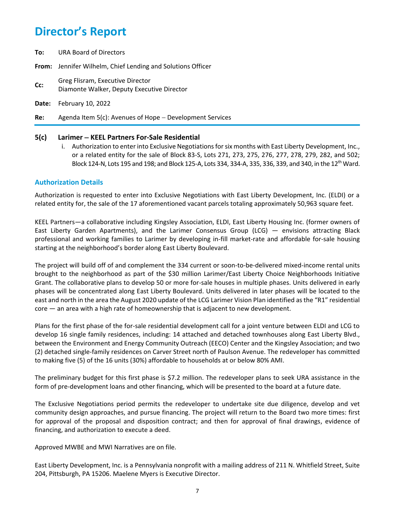- **To:** URA Board of Directors
- **From:** Jennifer Wilhelm, Chief Lending and Solutions Officer
- **CC:** Greg Flisram, Executive Director Diamonte Walker, Deputy Executive Director
- **Date:** February 10, 2022
- **Re:** Agenda Item 5(c): Avenues of Hope − Development Services

#### **5(c) Larimer** − **KEEL Partners For-Sale Residential**

i. Authorization to enter into Exclusive Negotiations for six months with East Liberty Development, Inc., or a related entity for the sale of Block 83-S, Lots 271, 273, 275, 276, 277, 278, 279, 282, and 502; Block 124-N, Lots 195 and 198; and Block 125-A, Lots 334, 334-A, 335, 336, 339, and 340, in the 12<sup>th</sup> Ward.

### **Authorization Details**

Authorization is requested to enter into Exclusive Negotiations with East Liberty Development, Inc. (ELDI) or a related entity for, the sale of the 17 aforementioned vacant parcels totaling approximately 50,963 square feet.

KEEL Partners—a collaborative including Kingsley Association, ELDI, East Liberty Housing Inc. (former owners of East Liberty Garden Apartments), and the Larimer Consensus Group (LCG) — envisions attracting Black professional and working families to Larimer by developing in-fill market-rate and affordable for-sale housing starting at the neighborhood's border along East Liberty Boulevard.

The project will build off of and complement the 334 current or soon-to-be-delivered mixed-income rental units brought to the neighborhood as part of the \$30 million Larimer/East Liberty Choice Neighborhoods Initiative Grant. The collaborative plans to develop 50 or more for-sale houses in multiple phases. Units delivered in early phases will be concentrated along East Liberty Boulevard. Units delivered in later phases will be located to the east and north in the area the August 2020 update of the LCG Larimer Vision Plan identified as the "R1" residential core — an area with a high rate of homeownership that is adjacent to new development.

Plans for the first phase of the for-sale residential development call for a joint venture between ELDI and LCG to develop 16 single family residences, including: 14 attached and detached townhouses along East Liberty Blvd., between the Environment and Energy Community Outreach (EECO) Center and the Kingsley Association; and two (2) detached single-family residences on Carver Street north of Paulson Avenue. The redeveloper has committed to making five (5) of the 16 units (30%) affordable to households at or below 80% AMI.

The preliminary budget for this first phase is \$7.2 million. The redeveloper plans to seek URA assistance in the form of pre-development loans and other financing, which will be presented to the board at a future date.

The Exclusive Negotiations period permits the redeveloper to undertake site due diligence, develop and vet community design approaches, and pursue financing. The project will return to the Board two more times: first for approval of the proposal and disposition contract; and then for approval of final drawings, evidence of financing, and authorization to execute a deed.

Approved MWBE and MWI Narratives are on file.

East Liberty Development, Inc. is a Pennsylvania nonprofit with a mailing address of 211 N. Whitfield Street, Suite 204, Pittsburgh, PA 15206. Maelene Myers is Executive Director.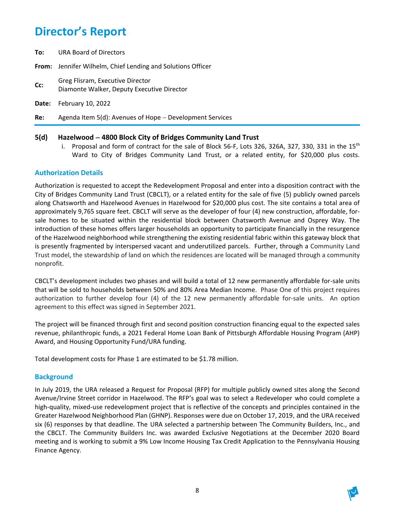**To:** URA Board of Directors

**From:** Jennifer Wilhelm, Chief Lending and Solutions Officer

- **CC:** Greg Flisram, Executive Director Diamonte Walker, Deputy Executive Director
- **Date:** February 10, 2022

**Re:** Agenda Item 5(d): Avenues of Hope − Development Services

### **5(d) Hazelwood** − **4800 Block City of Bridges Community Land Trust**

i. Proposal and form of contract for the sale of Block 56-F, Lots 326, 326A, 327, 330, 331 in the  $15<sup>th</sup>$ Ward to City of Bridges Community Land Trust, or a related entity, for \$20,000 plus costs.

## **Authorization Details**

Authorization is requested to accept the Redevelopment Proposal and enter into a disposition contract with the City of Bridges Community Land Trust (CBCLT), or a related entity for the sale of five (5) publicly owned parcels along Chatsworth and Hazelwood Avenues in Hazelwood for \$20,000 plus cost. The site contains a total area of approximately 9,765 square feet. CBCLT will serve as the developer of four (4) new construction, affordable, forsale homes to be situated within the residential block between Chatsworth Avenue and Osprey Way. The introduction of these homes offers larger households an opportunity to participate financially in the resurgence of the Hazelwood neighborhood while strengthening the existing residential fabric within this gateway block that is presently fragmented by interspersed vacant and underutilized parcels. Further, through a Community Land Trust model, the stewardship of land on which the residences are located will be managed through a community nonprofit.

CBCLT's development includes two phases and will build a total of 12 new permanently affordable for-sale units that will be sold to households between 50% and 80% Area Median Income. Phase One of this project requires authorization to further develop four (4) of the 12 new permanently affordable for-sale units. An option agreement to this effect was signed in September 2021.

The project will be financed through first and second position construction financing equal to the expected sales revenue, philanthropic funds, a 2021 Federal Home Loan Bank of Pittsburgh Affordable Housing Program (AHP) Award, and Housing Opportunity Fund/URA funding.

Total development costs for Phase 1 are estimated to be \$1.78 million.

### **Background**

In July 2019, the URA released a Request for Proposal (RFP) for multiple publicly owned sites along the Second Avenue/Irvine Street corridor in Hazelwood. The RFP's goal was to select a Redeveloper who could complete a high-quality, mixed-use redevelopment project that is reflective of the concepts and principles contained in the Greater Hazelwood Neighborhood Plan (GHNP). Responses were due on October 17, 2019, and the URA received six (6) responses by that deadline. The URA selected a partnership between The Community Builders, Inc., and the CBCLT. The Community Builders Inc. was awarded Exclusive Negotiations at the December 2020 Board meeting and is working to submit a 9% Low Income Housing Tax Credit Application to the Pennsylvania Housing Finance Agency.

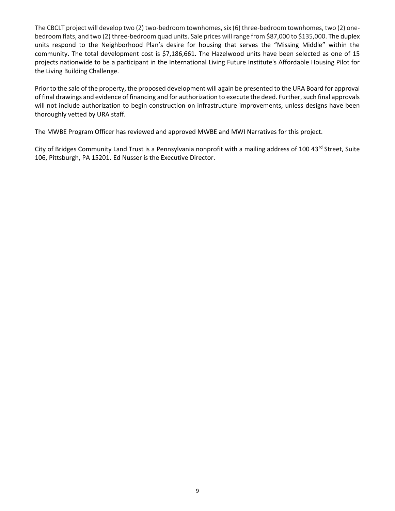The CBCLT project will develop two (2) two-bedroom townhomes, six (6) three-bedroom townhomes, two (2) onebedroom flats, and two (2) three-bedroom quad units. Sale prices will range from \$87,000 to \$135,000. The duplex units respond to the Neighborhood Plan's desire for housing that serves the "Missing Middle" within the community. The total development cost is \$7,186,661. The Hazelwood units have been selected as one of 15 projects nationwide to be a participant in the International Living Future Institute's Affordable Housing Pilot for the Living Building Challenge.

Prior to the sale of the property, the proposed development will again be presented to the URA Board for approval of final drawings and evidence of financing and for authorization to execute the deed. Further, such final approvals will not include authorization to begin construction on infrastructure improvements, unless designs have been thoroughly vetted by URA staff.

The MWBE Program Officer has reviewed and approved MWBE and MWI Narratives for this project.

City of Bridges Community Land Trust is a Pennsylvania nonprofit with a mailing address of 100 43rd Street, Suite 106, Pittsburgh, PA 15201. Ed Nusser is the Executive Director.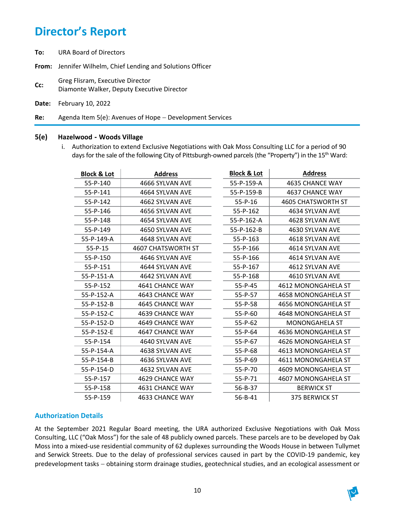**To:** URA Board of Directors

**From:** Jennifer Wilhelm, Chief Lending and Solutions Officer

**Cc:** Greg Flisram, Executive Director Diamonte Walker, Deputy Executive Director

**Date:** February 10, 2022

**Re:** Agenda Item 5(e): Avenues of Hope − Development Services

### **5(e) Hazelwood - Woods Village**

i. Authorization to extend Exclusive Negotiations with Oak Moss Consulting LLC for a period of 90 days for the sale of the following City of Pittsburgh-owned parcels (the "Property") in the 15<sup>th</sup> Ward:

| <b>Block &amp; Lot</b> | <b>Address</b>            | <b>Block &amp; Lot</b> | <b>Address</b>            |
|------------------------|---------------------------|------------------------|---------------------------|
| 55-P-140               | 4666 SYLVAN AVE           | 55-P-159-A             | 4635 CHANCE WAY           |
| 55-P-141               | 4664 SYLVAN AVE           | 55-P-159-B             | <b>4637 CHANCE WAY</b>    |
| 55-P-142               | 4662 SYLVAN AVE           | $55 - P - 16$          | <b>4605 CHATSWORTH ST</b> |
| 55-P-146               | 4656 SYLVAN AVE           | 55-P-162               | 4634 SYLVAN AVE           |
| 55-P-148               | 4654 SYLVAN AVE           | 55-P-162-A             | 4628 SYLVAN AVE           |
| 55-P-149               | 4650 SYLVAN AVE           | 55-P-162-B             | 4630 SYLVAN AVE           |
| 55-P-149-A             | 4648 SYLVAN AVE           | 55-P-163               | 4618 SYLVAN AVE           |
| $55 - P - 15$          | <b>4607 CHATSWORTH ST</b> | 55-P-166               | 4614 SYLVAN AVE           |
| 55-P-150               | 4646 SYLVAN AVE           | 55-P-166               | 4614 SYLVAN AVE           |
| 55-P-151               | 4644 SYLVAN AVE           | 55-P-167               | 4612 SYLVAN AVE           |
| 55-P-151-A             | 4642 SYLVAN AVE           | 55-P-168               | 4610 SYLVAN AVE           |
| 55-P-152               | 4641 CHANCE WAY           | 55-P-45                | 4612 MONONGAHELA ST       |
| 55-P-152-A             | 4643 CHANCE WAY           | 55-P-57                | 4658 MONONGAHELA ST       |
| $55-P-152-B$           | <b>4645 CHANCE WAY</b>    | $55 - P - 58$          | 4656 MONONGAHELA ST       |
| 55-P-152-C             | 4639 CHANCE WAY           | 55-P-60                | 4648 MONONGAHELA ST       |
| 55-P-152-D             | 4649 CHANCE WAY           | $55 - P - 62$          | <b>MONONGAHELA ST</b>     |
| 55-P-152-E             | 4647 CHANCE WAY           | $55 - P - 64$          | 4636 MONONGAHELA ST       |
| 55-P-154               | 4640 SYLVAN AVE           | 55-P-67                | 4626 MONONGAHELA ST       |
| 55-P-154-A             | 4638 SYLVAN AVE           | $55 - P - 68$          | 4613 MONONGAHELA ST       |
| 55-P-154-B             | 4636 SYLVAN AVE           | 55-P-69                | 4611 MONONGAHELA ST       |
| 55-P-154-D             | 4632 SYLVAN AVE           | 55-P-70                | 4609 MONONGAHELA ST       |
| 55-P-157               | 4629 CHANCE WAY           | 55-P-71                | 4607 MONONGAHELA ST       |
| 55-P-158               | 4631 CHANCE WAY           | 56-B-37                | <b>BERWICK ST</b>         |
| 55-P-159               | 4633 CHANCE WAY           | $56 - B - 41$          | 375 BERWICK ST            |

## **Authorization Details**

At the September 2021 Regular Board meeting, the URA authorized Exclusive Negotiations with Oak Moss Consulting, LLC ("Oak Moss") for the sale of 48 publicly owned parcels. These parcels are to be developed by Oak Moss into a mixed-use residential community of 62 duplexes surrounding the Woods House in between Tullymet and Serwick Streets. Due to the delay of professional services caused in part by the COVID-19 pandemic, key predevelopment tasks – obtaining storm drainage studies, geotechnical studies, and an ecological assessment or

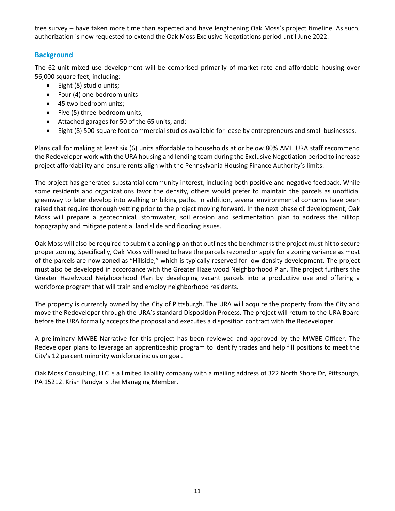tree survey − have taken more time than expected and have lengthening Oak Moss's project timeline. As such, authorization is now requested to extend the Oak Moss Exclusive Negotiations period until June 2022.

## **Background**

The 62-unit mixed-use development will be comprised primarily of market-rate and affordable housing over 56,000 square feet, including:

- Eight (8) studio units;
- Four (4) one-bedroom units
- 45 two-bedroom units;
- Five (5) three-bedroom units;
- Attached garages for 50 of the 65 units, and;
- Eight (8) 500-square foot commercial studios available for lease by entrepreneurs and small businesses.

Plans call for making at least six (6) units affordable to households at or below 80% AMI. URA staff recommend the Redeveloper work with the URA housing and lending team during the Exclusive Negotiation period to increase project affordability and ensure rents align with the Pennsylvania Housing Finance Authority's limits.

The project has generated substantial community interest, including both positive and negative feedback. While some residents and organizations favor the density, others would prefer to maintain the parcels as unofficial greenway to later develop into walking or biking paths. In addition, several environmental concerns have been raised that require thorough vetting prior to the project moving forward. In the next phase of development, Oak Moss will prepare a geotechnical, stormwater, soil erosion and sedimentation plan to address the hilltop topography and mitigate potential land slide and flooding issues.

Oak Moss will also be required to submit a zoning plan that outlines the benchmarks the project must hit to secure proper zoning. Specifically, Oak Moss will need to have the parcels rezoned or apply for a zoning variance as most of the parcels are now zoned as "Hillside," which is typically reserved for low density development. The project must also be developed in accordance with the Greater Hazelwood Neighborhood Plan. The project furthers the Greater Hazelwood Neighborhood Plan by developing vacant parcels into a productive use and offering a workforce program that will train and employ neighborhood residents.

The property is currently owned by the City of Pittsburgh. The URA will acquire the property from the City and move the Redeveloper through the URA's standard Disposition Process. The project will return to the URA Board before the URA formally accepts the proposal and executes a disposition contract with the Redeveloper.

A preliminary MWBE Narrative for this project has been reviewed and approved by the MWBE Officer. The Redeveloper plans to leverage an apprenticeship program to identify trades and help fill positions to meet the City's 12 percent minority workforce inclusion goal.

Oak Moss Consulting, LLC is a limited liability company with a mailing address of 322 North Shore Dr, Pittsburgh, PA 15212. Krish Pandya is the Managing Member.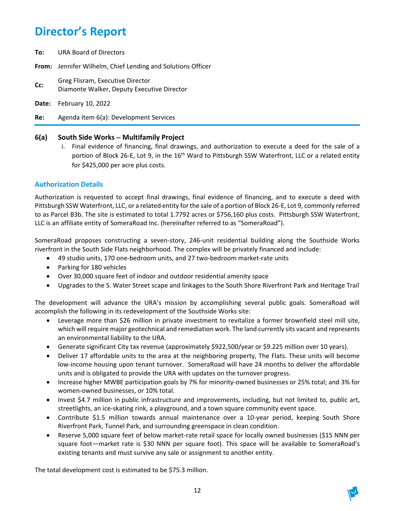- **To:** URA Board of Directors
- **From:** Jennifer Wilhelm, Chief Lending and Solutions Officer
- **Cc:** Greg Flisram, Executive Director Diamonte Walker, Deputy Executive Director
- **Date:** February 10, 2022
- **Re:** Agenda Item 6(a): Development Services

## **6(a) South Side Works** − **Multifamily Project**

i. Final evidence of financing, final drawings, and authorization to execute a deed for the sale of a portion of Block 26-E, Lot 9, in the 16<sup>th</sup> Ward to Pittsburgh SSW Waterfront, LLC or a related entity for \$425,000 per acre plus costs.

## **Authorization Details**

Authorization is requested to accept final drawings, final evidence of financing, and to execute a deed with Pittsburgh SSW Waterfront, LLC, or a related entity for the sale of a portion of Block 26-E, Lot 9, commonly referred to as Parcel B3b. The site is estimated to total 1.7792 acres or \$756,160 plus costs. Pittsburgh SSW Waterfront, LLC is an affiliate entity of SomeraRoad Inc. (hereinafter referred to as "SomeraRoad").

SomeraRoad proposes constructing a seven-story, 246-unit residential building along the Southside Works riverfront in the South Side Flats neighborhood. The complex will be privately financed and include:

- 49 studio units, 170 one-bedroom units, and 27 two-bedroom market-rate units
- Parking for 180 vehicles
- Over 30,000 square feet of indoor and outdoor residential amenity space
- Upgrades to the S. Water Street scape and linkages to the South Shore Riverfront Park and Heritage Trail

The development will advance the URA's mission by accomplishing several public goals. SomeraRoad will accomplish the following in its redevelopment of the Southside Works site:

- Leverage more than \$26 million in private investment to revitalize a former brownfield steel mill site, which will require major geotechnical and remediation work. The land currently sits vacant and represents an environmental liability to the URA.
- Generate significant City tax revenue (approximately \$922,500/year or \$9.225 million over 10 years).
- Deliver 17 affordable units to the area at the neighboring property, The Flats. These units will become low-income housing upon tenant turnover. SomeraRoad will have 24 months to deliver the affordable units and is obligated to provide the URA with updates on the turnover progress.
- Increase higher MWBE participation goals by 7% for minority-owned businesses or 25% total; and 3% for women-owned businesses, or 10% total.
- Invest \$4.7 million in public infrastructure and improvements, including, but not limited to, public art, streetlights, an ice-skating rink, a playground, and a town square community event space.
- Contribute \$1.5 million towards annual maintenance over a 10-year period, keeping South Shore Riverfront Park, Tunnel Park, and surrounding greenspace in clean condition.
- Reserve 5,000 square feet of below market-rate retail space for locally owned businesses (\$15 NNN per square foot—market rate is \$30 NNN per square foot). This space will be available to SomeraRoad's existing tenants and must survive any sale or assignment to another entity.

The total development cost is estimated to be \$75.3 million.

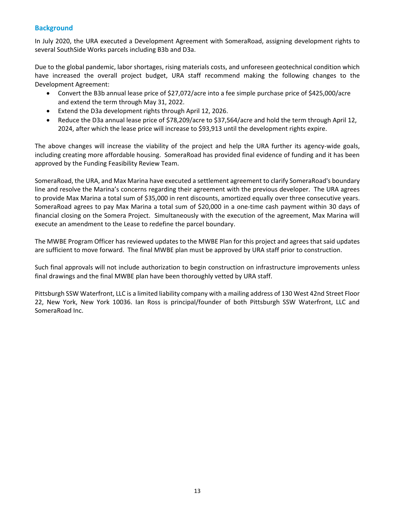## **Background**

In July 2020, the URA executed a Development Agreement with SomeraRoad, assigning development rights to several SouthSide Works parcels including B3b and D3a.

Due to the global pandemic, labor shortages, rising materials costs, and unforeseen geotechnical condition which have increased the overall project budget, URA staff recommend making the following changes to the Development Agreement:

- Convert the B3b annual lease price of \$27,072/acre into a fee simple purchase price of \$425,000/acre and extend the term through May 31, 2022.
- Extend the D3a development rights through April 12, 2026.
- Reduce the D3a annual lease price of \$78,209/acre to \$37,564/acre and hold the term through April 12, 2024, after which the lease price will increase to \$93,913 until the development rights expire.

The above changes will increase the viability of the project and help the URA further its agency-wide goals, including creating more affordable housing. SomeraRoad has provided final evidence of funding and it has been approved by the Funding Feasibility Review Team.

SomeraRoad, the URA, and Max Marina have executed a settlement agreement to clarify SomeraRoad's boundary line and resolve the Marina's concerns regarding their agreement with the previous developer. The URA agrees to provide Max Marina a total sum of \$35,000 in rent discounts, amortized equally over three consecutive years. SomeraRoad agrees to pay Max Marina a total sum of \$20,000 in a one-time cash payment within 30 days of financial closing on the Somera Project. Simultaneously with the execution of the agreement, Max Marina will execute an amendment to the Lease to redefine the parcel boundary.

The MWBE Program Officer has reviewed updates to the MWBE Plan for this project and agrees that said updates are sufficient to move forward. The final MWBE plan must be approved by URA staff prior to construction.

Such final approvals will not include authorization to begin construction on infrastructure improvements unless final drawings and the final MWBE plan have been thoroughly vetted by URA staff.

Pittsburgh SSW Waterfront, LLC is a limited liability company with a mailing address of 130 West 42nd Street Floor 22, New York, New York 10036. Ian Ross is principal/founder of both Pittsburgh SSW Waterfront, LLC and SomeraRoad Inc.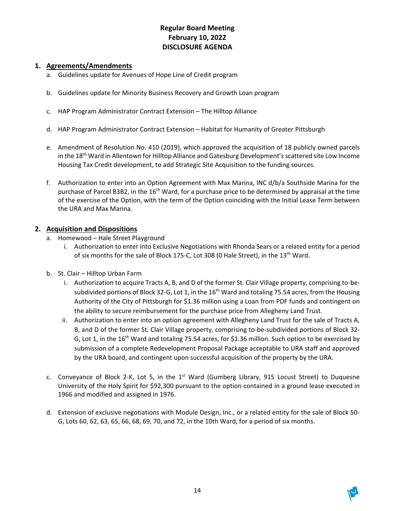## **Regular Board Meeting February 10, 2022 DISCLOSURE AGENDA**

## **1. Agreements/Amendments**

- a. Guidelines update for Avenues of Hope Line of Credit program
- b. Guidelines update for Minority Business Recovery and Growth Loan program
- c. HAP Program Administrator Contract Extension The Hilltop Alliance
- d. HAP Program Administrator Contract Extension Habitat for Humanity of Greater Pittsburgh
- e. Amendment of Resolution No. 410 (2019), which approved the acquisition of 18 publicly owned parcels in the 18<sup>th</sup> Ward in Allentown for Hilltop Alliance and Gatesburg Development's scattered site Low Income Housing Tax Credit development, to add Strategic Site Acquisition to the funding sources.
- f. Authorization to enter into an Option Agreement with Max Marina, INC d/b/a Southside Marina for the purchase of Parcel B3B2, in the 16<sup>th</sup> Ward, for a purchase price to be determined by appraisal at the time of the exercise of the Option, with the term of the Option coinciding with the Initial Lease Term between the URA and Max Marina.

## **2. Acquisition and Dispositions**

- a. Homewood Hale Street Playground
	- i. Authorization to enter into Exclusive Negotiations with Rhonda Sears or a related entity for a period of six months for the sale of Block 175-C, Lot 308 (0 Hale Street), in the 13<sup>th</sup> Ward.
- b. St. Clair Hilltop Urban Farm
	- i. Authorization to acquire Tracts A, B, and D of the former St. Clair Village property, comprising to-besubdivided portions of Block 32-G, Lot 1, in the 16<sup>th</sup> Ward and totaling 75.54 acres, from the Housing Authority of the City of Pittsburgh for \$1.36 million using a Loan from PDF funds and contingent on the ability to secure reimbursement for the purchase price from Allegheny Land Trust.
	- ii. Authorization to enter into an option agreement with Allegheny Land Trust for the sale of Tracts A, B, and D of the former St. Clair Village property, comprising to-be-subdivided portions of Block 32- G, Lot 1, in the 16<sup>th</sup> Ward and totaling 75.54 acres, for \$1.36 million. Such option to be exercised by submission of a complete Redevelopment Proposal Package acceptable to URA staff and approved by the URA board, and contingent upon successful acquisition of the property by the URA.
- c. Conveyance of Block 2-K, Lot 5, in the  $1<sup>st</sup>$  Ward (Gumberg Library, 915 Locust Street) to Duquesne University of the Holy Spirit for \$92,300 pursuant to the option contained in a ground lease executed in 1966 and modified and assigned in 1976.
- d. Extension of exclusive negotiations with Module Design, Inc., or a related entity for the sale of Block 50- G, Lots 60, 62, 63, 65, 66, 68, 69, 70, and 72, in the 10th Ward, for a period of six months.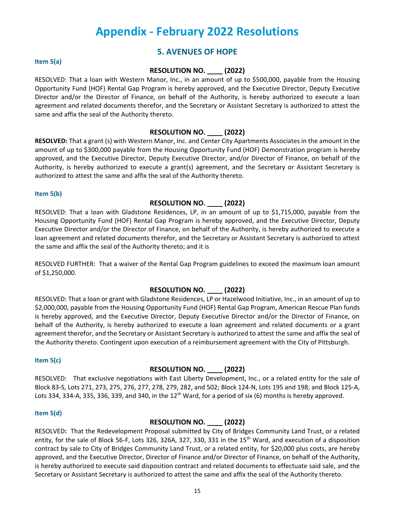## **Appendix - February 2022 Resolutions**

## **5. AVENUES OF HOPE**

#### **Item 5(a)**

### **RESOLUTION NO. \_\_\_\_ (2022)**

RESOLVED: That a loan with Western Manor, Inc., in an amount of up to \$500,000, payable from the Housing Opportunity Fund (HOF) Rental Gap Program is hereby approved, and the Executive Director, Deputy Executive Director and/or the Director of Finance, on behalf of the Authority, is hereby authorized to execute a loan agreement and related documents therefor, and the Secretary or Assistant Secretary is authorized to attest the same and affix the seal of the Authority thereto.

### **RESOLUTION NO. \_\_\_\_ (2022)**

**RESOLVED:** That a grant (s) with Western Manor, Inc. and Center City Apartments Associates in the amount in the amount of up to \$300,000 payable from the Housing Opportunity Fund (HOF) Demonstration program is hereby approved, and the Executive Director, Deputy Executive Director, and/or Director of Finance, on behalf of the Authority, is hereby authorized to execute a grant(s) agreement, and the Secretary or Assistant Secretary is authorized to attest the same and affix the seal of the Authority thereto.

#### **Item 5(b)**

### **RESOLUTION NO. \_\_\_\_ (2022)**

RESOLVED: That a loan with Gladstone Residences, LP, in an amount of up to \$1,715,000, payable from the Housing Opportunity Fund (HOF) Rental Gap Program is hereby approved, and the Executive Director, Deputy Executive Director and/or the Director of Finance, on behalf of the Authority, is hereby authorized to execute a loan agreement and related documents therefor, and the Secretary or Assistant Secretary is authorized to attest the same and affix the seal of the Authority thereto; and it is

RESOLVED FURTHER: That a waiver of the Rental Gap Program guidelines to exceed the maximum loan amount of \$1,250,000.

### **RESOLUTION NO. \_\_\_\_ (2022)**

RESOLVED: That a loan or grant with Gladstone Residences, LP or Hazelwood Initiative, Inc., in an amount of up to \$2,000,000, payable from the Housing Opportunity Fund (HOF) Rental Gap Program, American Rescue Plan funds is hereby approved, and the Executive Director, Deputy Executive Director and/or the Director of Finance, on behalf of the Authority, is hereby authorized to execute a loan agreement and related documents or a grant agreement therefor, and the Secretary or Assistant Secretary is authorized to attest the same and affix the seal of the Authority thereto. Contingent upon execution of a reimbursement agreement with the City of Pittsburgh.

#### **Item 5(c)**

### **RESOLUTION NO. \_\_\_\_ (2022)**

RESOLVED: That exclusive negotiations with East Liberty Development, Inc., or a related entity for the sale of Block 83-S, Lots 271, 273, 275, 276, 277, 278, 279, 282, and 502; Block 124-N, Lots 195 and 198; and Block 125-A, Lots 334, 334-A, 335, 336, 339, and 340, in the 12<sup>th</sup> Ward, for a period of six (6) months is hereby approved.

#### **Item 5(d)**

### **RESOLUTION NO. \_\_\_\_ (2022)**

RESOLVED**:** That the Redevelopment Proposal submitted by City of Bridges Community Land Trust, or a related entity, for the sale of Block 56-F, Lots 326, 326A, 327, 330, 331 in the 15<sup>th</sup> Ward, and execution of a disposition contract by sale to City of Bridges Community Land Trust, or a related entity, for \$20,000 plus costs, are hereby approved, and the Executive Director, Director of Finance and/or Director of Finance, on behalf of the Authority, is hereby authorized to execute said disposition contract and related documents to effectuate said sale, and the Secretary or Assistant Secretary is authorized to attest the same and affix the seal of the Authority thereto.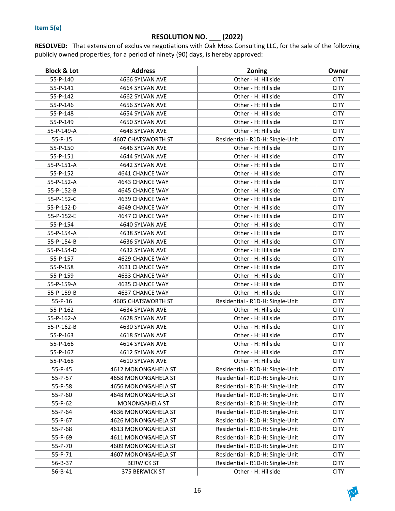## **RESOLUTION NO. \_\_\_ (2022)**

**RESOLVED:** That extension of exclusive negotiations with Oak Moss Consulting LLC, for the sale of the following publicly owned properties, for a period of ninety (90) days, is hereby approved:

| 55-P-140<br>4666 SYLVAN AVE<br>Other - H: Hillside<br><b>CITY</b><br>Other - H: Hillside<br>55-P-141<br>4664 SYLVAN AVE<br><b>CITY</b><br>Other - H: Hillside<br>55-P-142<br>4662 SYLVAN AVE<br><b>CITY</b><br>Other - H: Hillside<br>55-P-146<br>4656 SYLVAN AVE<br><b>CITY</b><br>55-P-148<br>Other - H: Hillside<br><b>CITY</b><br>4654 SYLVAN AVE<br>55-P-149<br>4650 SYLVAN AVE<br>Other - H: Hillside<br><b>CITY</b><br>Other - H: Hillside<br>55-P-149-A<br>4648 SYLVAN AVE<br><b>CITY</b><br>$55 - P - 15$<br><b>4607 CHATSWORTH ST</b><br>Residential - R1D-H: Single-Unit<br><b>CITY</b><br>Other - H: Hillside<br>55-P-150<br>4646 SYLVAN AVE<br><b>CITY</b><br>55-P-151<br>Other - H: Hillside<br><b>CITY</b><br>4644 SYLVAN AVE<br>55-P-151-A<br>Other - H: Hillside<br><b>CITY</b><br>4642 SYLVAN AVE<br>Other - H: Hillside<br>55-P-152<br>4641 CHANCE WAY<br><b>CITY</b><br>Other - H: Hillside<br><b>CITY</b><br>55-P-152-A<br>4643 CHANCE WAY<br>55-P-152-B<br>Other - H: Hillside<br><b>CITY</b><br>4645 CHANCE WAY<br>Other - H: Hillside<br><b>CITY</b><br>55-P-152-C<br>4639 CHANCE WAY<br>55-P-152-D<br>Other - H: Hillside<br><b>CITY</b><br>4649 CHANCE WAY<br>55-P-152-E<br>4647 CHANCE WAY<br>Other - H: Hillside<br><b>CITY</b><br>55-P-154<br>Other - H: Hillside<br>4640 SYLVAN AVE<br><b>CITY</b><br>55-P-154-A<br>Other - H: Hillside<br><b>CITY</b><br>4638 SYLVAN AVE<br>Other - H: Hillside<br><b>CITY</b><br>55-P-154-B<br>4636 SYLVAN AVE<br><b>CITY</b><br>55-P-154-D<br>4632 SYLVAN AVE<br>Other - H: Hillside<br>Other - H: Hillside<br>55-P-157<br>4629 CHANCE WAY<br><b>CITY</b><br>Other - H: Hillside<br>55-P-158<br>4631 CHANCE WAY<br><b>CITY</b><br>55-P-159<br>4633 CHANCE WAY<br>Other - H: Hillside<br><b>CITY</b><br>Other - H: Hillside<br><b>CITY</b><br>55-P-159-A<br>4635 CHANCE WAY<br>55-P-159-B<br>Other - H: Hillside<br>4637 CHANCE WAY<br><b>CITY</b><br>$55 - P - 16$<br><b>4605 CHATSWORTH ST</b><br>Residential - R1D-H: Single-Unit<br><b>CITY</b><br>55-P-162<br>Other - H: Hillside<br>4634 SYLVAN AVE<br><b>CITY</b><br>55-P-162-A<br>Other - H: Hillside<br>4628 SYLVAN AVE<br><b>CITY</b><br>Other - H: Hillside<br><b>CITY</b><br>55-P-162-B<br>4630 SYLVAN AVE<br>Other - H: Hillside<br><b>CITY</b><br>55-P-163<br>4618 SYLVAN AVE<br>Other - H: Hillside<br>55-P-166<br>4614 SYLVAN AVE<br><b>CITY</b><br>Other - H: Hillside<br>55-P-167<br>4612 SYLVAN AVE<br><b>CITY</b><br>Other - H: Hillside<br><b>CITY</b><br>55-P-168<br>4610 SYLVAN AVE<br>Residential - R1D-H: Single-Unit<br><b>CITY</b><br>55-P-45<br>4612 MONONGAHELA ST<br>Residential - R1D-H: Single-Unit<br><b>CITY</b><br>55-P-57<br>4658 MONONGAHELA ST<br>55-P-58<br>4656 MONONGAHELA ST<br>Residential - R1D-H: Single-Unit<br><b>CITY</b><br>55-P-60<br>Residential - R1D-H: Single-Unit<br><b>CITY</b><br>4648 MONONGAHELA ST<br>55-P-62<br>MONONGAHELA ST<br>Residential - R1D-H: Single-Unit<br><b>CITY</b><br>55-P-64<br>4636 MONONGAHELA ST<br>Residential - R1D-H: Single-Unit<br><b>CITY</b><br>55-P-67<br>4626 MONONGAHELA ST<br>Residential - R1D-H: Single-Unit<br><b>CITY</b><br>55-P-68<br>4613 MONONGAHELA ST<br>Residential - R1D-H: Single-Unit<br><b>CITY</b><br>55-P-69<br>4611 MONONGAHELA ST<br>Residential - R1D-H: Single-Unit<br><b>CITY</b><br>55-P-70<br>4609 MONONGAHELA ST<br>Residential - R1D-H: Single-Unit<br><b>CITY</b><br>55-P-71<br>Residential - R1D-H: Single-Unit<br><b>CITY</b><br>4607 MONONGAHELA ST<br>Residential - R1D-H: Single-Unit<br>56-B-37<br><b>BERWICK ST</b><br><b>CITY</b><br>56-B-41<br>375 BERWICK ST<br>Other - H: Hillside<br><b>CITY</b> | <b>Block &amp; Lot</b> | <b>Address</b> | <b>Zoning</b> | <u>Owner</u> |
|----------------------------------------------------------------------------------------------------------------------------------------------------------------------------------------------------------------------------------------------------------------------------------------------------------------------------------------------------------------------------------------------------------------------------------------------------------------------------------------------------------------------------------------------------------------------------------------------------------------------------------------------------------------------------------------------------------------------------------------------------------------------------------------------------------------------------------------------------------------------------------------------------------------------------------------------------------------------------------------------------------------------------------------------------------------------------------------------------------------------------------------------------------------------------------------------------------------------------------------------------------------------------------------------------------------------------------------------------------------------------------------------------------------------------------------------------------------------------------------------------------------------------------------------------------------------------------------------------------------------------------------------------------------------------------------------------------------------------------------------------------------------------------------------------------------------------------------------------------------------------------------------------------------------------------------------------------------------------------------------------------------------------------------------------------------------------------------------------------------------------------------------------------------------------------------------------------------------------------------------------------------------------------------------------------------------------------------------------------------------------------------------------------------------------------------------------------------------------------------------------------------------------------------------------------------------------------------------------------------------------------------------------------------------------------------------------------------------------------------------------------------------------------------------------------------------------------------------------------------------------------------------------------------------------------------------------------------------------------------------------------------------------------------------------------------------------------------------------------------------------------------------------------------------------------------------------------------------------------------------------------------------------------------------------------------------------------------------------------------------------------------------------------------------------------------------------------------------------------------------------------------------------------------------------------------------------------------------------------------------------------------------------|------------------------|----------------|---------------|--------------|
|                                                                                                                                                                                                                                                                                                                                                                                                                                                                                                                                                                                                                                                                                                                                                                                                                                                                                                                                                                                                                                                                                                                                                                                                                                                                                                                                                                                                                                                                                                                                                                                                                                                                                                                                                                                                                                                                                                                                                                                                                                                                                                                                                                                                                                                                                                                                                                                                                                                                                                                                                                                                                                                                                                                                                                                                                                                                                                                                                                                                                                                                                                                                                                                                                                                                                                                                                                                                                                                                                                                                                                                                                                                    |                        |                |               |              |
|                                                                                                                                                                                                                                                                                                                                                                                                                                                                                                                                                                                                                                                                                                                                                                                                                                                                                                                                                                                                                                                                                                                                                                                                                                                                                                                                                                                                                                                                                                                                                                                                                                                                                                                                                                                                                                                                                                                                                                                                                                                                                                                                                                                                                                                                                                                                                                                                                                                                                                                                                                                                                                                                                                                                                                                                                                                                                                                                                                                                                                                                                                                                                                                                                                                                                                                                                                                                                                                                                                                                                                                                                                                    |                        |                |               |              |
|                                                                                                                                                                                                                                                                                                                                                                                                                                                                                                                                                                                                                                                                                                                                                                                                                                                                                                                                                                                                                                                                                                                                                                                                                                                                                                                                                                                                                                                                                                                                                                                                                                                                                                                                                                                                                                                                                                                                                                                                                                                                                                                                                                                                                                                                                                                                                                                                                                                                                                                                                                                                                                                                                                                                                                                                                                                                                                                                                                                                                                                                                                                                                                                                                                                                                                                                                                                                                                                                                                                                                                                                                                                    |                        |                |               |              |
|                                                                                                                                                                                                                                                                                                                                                                                                                                                                                                                                                                                                                                                                                                                                                                                                                                                                                                                                                                                                                                                                                                                                                                                                                                                                                                                                                                                                                                                                                                                                                                                                                                                                                                                                                                                                                                                                                                                                                                                                                                                                                                                                                                                                                                                                                                                                                                                                                                                                                                                                                                                                                                                                                                                                                                                                                                                                                                                                                                                                                                                                                                                                                                                                                                                                                                                                                                                                                                                                                                                                                                                                                                                    |                        |                |               |              |
|                                                                                                                                                                                                                                                                                                                                                                                                                                                                                                                                                                                                                                                                                                                                                                                                                                                                                                                                                                                                                                                                                                                                                                                                                                                                                                                                                                                                                                                                                                                                                                                                                                                                                                                                                                                                                                                                                                                                                                                                                                                                                                                                                                                                                                                                                                                                                                                                                                                                                                                                                                                                                                                                                                                                                                                                                                                                                                                                                                                                                                                                                                                                                                                                                                                                                                                                                                                                                                                                                                                                                                                                                                                    |                        |                |               |              |
|                                                                                                                                                                                                                                                                                                                                                                                                                                                                                                                                                                                                                                                                                                                                                                                                                                                                                                                                                                                                                                                                                                                                                                                                                                                                                                                                                                                                                                                                                                                                                                                                                                                                                                                                                                                                                                                                                                                                                                                                                                                                                                                                                                                                                                                                                                                                                                                                                                                                                                                                                                                                                                                                                                                                                                                                                                                                                                                                                                                                                                                                                                                                                                                                                                                                                                                                                                                                                                                                                                                                                                                                                                                    |                        |                |               |              |
|                                                                                                                                                                                                                                                                                                                                                                                                                                                                                                                                                                                                                                                                                                                                                                                                                                                                                                                                                                                                                                                                                                                                                                                                                                                                                                                                                                                                                                                                                                                                                                                                                                                                                                                                                                                                                                                                                                                                                                                                                                                                                                                                                                                                                                                                                                                                                                                                                                                                                                                                                                                                                                                                                                                                                                                                                                                                                                                                                                                                                                                                                                                                                                                                                                                                                                                                                                                                                                                                                                                                                                                                                                                    |                        |                |               |              |
|                                                                                                                                                                                                                                                                                                                                                                                                                                                                                                                                                                                                                                                                                                                                                                                                                                                                                                                                                                                                                                                                                                                                                                                                                                                                                                                                                                                                                                                                                                                                                                                                                                                                                                                                                                                                                                                                                                                                                                                                                                                                                                                                                                                                                                                                                                                                                                                                                                                                                                                                                                                                                                                                                                                                                                                                                                                                                                                                                                                                                                                                                                                                                                                                                                                                                                                                                                                                                                                                                                                                                                                                                                                    |                        |                |               |              |
|                                                                                                                                                                                                                                                                                                                                                                                                                                                                                                                                                                                                                                                                                                                                                                                                                                                                                                                                                                                                                                                                                                                                                                                                                                                                                                                                                                                                                                                                                                                                                                                                                                                                                                                                                                                                                                                                                                                                                                                                                                                                                                                                                                                                                                                                                                                                                                                                                                                                                                                                                                                                                                                                                                                                                                                                                                                                                                                                                                                                                                                                                                                                                                                                                                                                                                                                                                                                                                                                                                                                                                                                                                                    |                        |                |               |              |
|                                                                                                                                                                                                                                                                                                                                                                                                                                                                                                                                                                                                                                                                                                                                                                                                                                                                                                                                                                                                                                                                                                                                                                                                                                                                                                                                                                                                                                                                                                                                                                                                                                                                                                                                                                                                                                                                                                                                                                                                                                                                                                                                                                                                                                                                                                                                                                                                                                                                                                                                                                                                                                                                                                                                                                                                                                                                                                                                                                                                                                                                                                                                                                                                                                                                                                                                                                                                                                                                                                                                                                                                                                                    |                        |                |               |              |
|                                                                                                                                                                                                                                                                                                                                                                                                                                                                                                                                                                                                                                                                                                                                                                                                                                                                                                                                                                                                                                                                                                                                                                                                                                                                                                                                                                                                                                                                                                                                                                                                                                                                                                                                                                                                                                                                                                                                                                                                                                                                                                                                                                                                                                                                                                                                                                                                                                                                                                                                                                                                                                                                                                                                                                                                                                                                                                                                                                                                                                                                                                                                                                                                                                                                                                                                                                                                                                                                                                                                                                                                                                                    |                        |                |               |              |
|                                                                                                                                                                                                                                                                                                                                                                                                                                                                                                                                                                                                                                                                                                                                                                                                                                                                                                                                                                                                                                                                                                                                                                                                                                                                                                                                                                                                                                                                                                                                                                                                                                                                                                                                                                                                                                                                                                                                                                                                                                                                                                                                                                                                                                                                                                                                                                                                                                                                                                                                                                                                                                                                                                                                                                                                                                                                                                                                                                                                                                                                                                                                                                                                                                                                                                                                                                                                                                                                                                                                                                                                                                                    |                        |                |               |              |
|                                                                                                                                                                                                                                                                                                                                                                                                                                                                                                                                                                                                                                                                                                                                                                                                                                                                                                                                                                                                                                                                                                                                                                                                                                                                                                                                                                                                                                                                                                                                                                                                                                                                                                                                                                                                                                                                                                                                                                                                                                                                                                                                                                                                                                                                                                                                                                                                                                                                                                                                                                                                                                                                                                                                                                                                                                                                                                                                                                                                                                                                                                                                                                                                                                                                                                                                                                                                                                                                                                                                                                                                                                                    |                        |                |               |              |
|                                                                                                                                                                                                                                                                                                                                                                                                                                                                                                                                                                                                                                                                                                                                                                                                                                                                                                                                                                                                                                                                                                                                                                                                                                                                                                                                                                                                                                                                                                                                                                                                                                                                                                                                                                                                                                                                                                                                                                                                                                                                                                                                                                                                                                                                                                                                                                                                                                                                                                                                                                                                                                                                                                                                                                                                                                                                                                                                                                                                                                                                                                                                                                                                                                                                                                                                                                                                                                                                                                                                                                                                                                                    |                        |                |               |              |
|                                                                                                                                                                                                                                                                                                                                                                                                                                                                                                                                                                                                                                                                                                                                                                                                                                                                                                                                                                                                                                                                                                                                                                                                                                                                                                                                                                                                                                                                                                                                                                                                                                                                                                                                                                                                                                                                                                                                                                                                                                                                                                                                                                                                                                                                                                                                                                                                                                                                                                                                                                                                                                                                                                                                                                                                                                                                                                                                                                                                                                                                                                                                                                                                                                                                                                                                                                                                                                                                                                                                                                                                                                                    |                        |                |               |              |
|                                                                                                                                                                                                                                                                                                                                                                                                                                                                                                                                                                                                                                                                                                                                                                                                                                                                                                                                                                                                                                                                                                                                                                                                                                                                                                                                                                                                                                                                                                                                                                                                                                                                                                                                                                                                                                                                                                                                                                                                                                                                                                                                                                                                                                                                                                                                                                                                                                                                                                                                                                                                                                                                                                                                                                                                                                                                                                                                                                                                                                                                                                                                                                                                                                                                                                                                                                                                                                                                                                                                                                                                                                                    |                        |                |               |              |
|                                                                                                                                                                                                                                                                                                                                                                                                                                                                                                                                                                                                                                                                                                                                                                                                                                                                                                                                                                                                                                                                                                                                                                                                                                                                                                                                                                                                                                                                                                                                                                                                                                                                                                                                                                                                                                                                                                                                                                                                                                                                                                                                                                                                                                                                                                                                                                                                                                                                                                                                                                                                                                                                                                                                                                                                                                                                                                                                                                                                                                                                                                                                                                                                                                                                                                                                                                                                                                                                                                                                                                                                                                                    |                        |                |               |              |
|                                                                                                                                                                                                                                                                                                                                                                                                                                                                                                                                                                                                                                                                                                                                                                                                                                                                                                                                                                                                                                                                                                                                                                                                                                                                                                                                                                                                                                                                                                                                                                                                                                                                                                                                                                                                                                                                                                                                                                                                                                                                                                                                                                                                                                                                                                                                                                                                                                                                                                                                                                                                                                                                                                                                                                                                                                                                                                                                                                                                                                                                                                                                                                                                                                                                                                                                                                                                                                                                                                                                                                                                                                                    |                        |                |               |              |
|                                                                                                                                                                                                                                                                                                                                                                                                                                                                                                                                                                                                                                                                                                                                                                                                                                                                                                                                                                                                                                                                                                                                                                                                                                                                                                                                                                                                                                                                                                                                                                                                                                                                                                                                                                                                                                                                                                                                                                                                                                                                                                                                                                                                                                                                                                                                                                                                                                                                                                                                                                                                                                                                                                                                                                                                                                                                                                                                                                                                                                                                                                                                                                                                                                                                                                                                                                                                                                                                                                                                                                                                                                                    |                        |                |               |              |
|                                                                                                                                                                                                                                                                                                                                                                                                                                                                                                                                                                                                                                                                                                                                                                                                                                                                                                                                                                                                                                                                                                                                                                                                                                                                                                                                                                                                                                                                                                                                                                                                                                                                                                                                                                                                                                                                                                                                                                                                                                                                                                                                                                                                                                                                                                                                                                                                                                                                                                                                                                                                                                                                                                                                                                                                                                                                                                                                                                                                                                                                                                                                                                                                                                                                                                                                                                                                                                                                                                                                                                                                                                                    |                        |                |               |              |
|                                                                                                                                                                                                                                                                                                                                                                                                                                                                                                                                                                                                                                                                                                                                                                                                                                                                                                                                                                                                                                                                                                                                                                                                                                                                                                                                                                                                                                                                                                                                                                                                                                                                                                                                                                                                                                                                                                                                                                                                                                                                                                                                                                                                                                                                                                                                                                                                                                                                                                                                                                                                                                                                                                                                                                                                                                                                                                                                                                                                                                                                                                                                                                                                                                                                                                                                                                                                                                                                                                                                                                                                                                                    |                        |                |               |              |
|                                                                                                                                                                                                                                                                                                                                                                                                                                                                                                                                                                                                                                                                                                                                                                                                                                                                                                                                                                                                                                                                                                                                                                                                                                                                                                                                                                                                                                                                                                                                                                                                                                                                                                                                                                                                                                                                                                                                                                                                                                                                                                                                                                                                                                                                                                                                                                                                                                                                                                                                                                                                                                                                                                                                                                                                                                                                                                                                                                                                                                                                                                                                                                                                                                                                                                                                                                                                                                                                                                                                                                                                                                                    |                        |                |               |              |
|                                                                                                                                                                                                                                                                                                                                                                                                                                                                                                                                                                                                                                                                                                                                                                                                                                                                                                                                                                                                                                                                                                                                                                                                                                                                                                                                                                                                                                                                                                                                                                                                                                                                                                                                                                                                                                                                                                                                                                                                                                                                                                                                                                                                                                                                                                                                                                                                                                                                                                                                                                                                                                                                                                                                                                                                                                                                                                                                                                                                                                                                                                                                                                                                                                                                                                                                                                                                                                                                                                                                                                                                                                                    |                        |                |               |              |
|                                                                                                                                                                                                                                                                                                                                                                                                                                                                                                                                                                                                                                                                                                                                                                                                                                                                                                                                                                                                                                                                                                                                                                                                                                                                                                                                                                                                                                                                                                                                                                                                                                                                                                                                                                                                                                                                                                                                                                                                                                                                                                                                                                                                                                                                                                                                                                                                                                                                                                                                                                                                                                                                                                                                                                                                                                                                                                                                                                                                                                                                                                                                                                                                                                                                                                                                                                                                                                                                                                                                                                                                                                                    |                        |                |               |              |
|                                                                                                                                                                                                                                                                                                                                                                                                                                                                                                                                                                                                                                                                                                                                                                                                                                                                                                                                                                                                                                                                                                                                                                                                                                                                                                                                                                                                                                                                                                                                                                                                                                                                                                                                                                                                                                                                                                                                                                                                                                                                                                                                                                                                                                                                                                                                                                                                                                                                                                                                                                                                                                                                                                                                                                                                                                                                                                                                                                                                                                                                                                                                                                                                                                                                                                                                                                                                                                                                                                                                                                                                                                                    |                        |                |               |              |
|                                                                                                                                                                                                                                                                                                                                                                                                                                                                                                                                                                                                                                                                                                                                                                                                                                                                                                                                                                                                                                                                                                                                                                                                                                                                                                                                                                                                                                                                                                                                                                                                                                                                                                                                                                                                                                                                                                                                                                                                                                                                                                                                                                                                                                                                                                                                                                                                                                                                                                                                                                                                                                                                                                                                                                                                                                                                                                                                                                                                                                                                                                                                                                                                                                                                                                                                                                                                                                                                                                                                                                                                                                                    |                        |                |               |              |
|                                                                                                                                                                                                                                                                                                                                                                                                                                                                                                                                                                                                                                                                                                                                                                                                                                                                                                                                                                                                                                                                                                                                                                                                                                                                                                                                                                                                                                                                                                                                                                                                                                                                                                                                                                                                                                                                                                                                                                                                                                                                                                                                                                                                                                                                                                                                                                                                                                                                                                                                                                                                                                                                                                                                                                                                                                                                                                                                                                                                                                                                                                                                                                                                                                                                                                                                                                                                                                                                                                                                                                                                                                                    |                        |                |               |              |
|                                                                                                                                                                                                                                                                                                                                                                                                                                                                                                                                                                                                                                                                                                                                                                                                                                                                                                                                                                                                                                                                                                                                                                                                                                                                                                                                                                                                                                                                                                                                                                                                                                                                                                                                                                                                                                                                                                                                                                                                                                                                                                                                                                                                                                                                                                                                                                                                                                                                                                                                                                                                                                                                                                                                                                                                                                                                                                                                                                                                                                                                                                                                                                                                                                                                                                                                                                                                                                                                                                                                                                                                                                                    |                        |                |               |              |
|                                                                                                                                                                                                                                                                                                                                                                                                                                                                                                                                                                                                                                                                                                                                                                                                                                                                                                                                                                                                                                                                                                                                                                                                                                                                                                                                                                                                                                                                                                                                                                                                                                                                                                                                                                                                                                                                                                                                                                                                                                                                                                                                                                                                                                                                                                                                                                                                                                                                                                                                                                                                                                                                                                                                                                                                                                                                                                                                                                                                                                                                                                                                                                                                                                                                                                                                                                                                                                                                                                                                                                                                                                                    |                        |                |               |              |
|                                                                                                                                                                                                                                                                                                                                                                                                                                                                                                                                                                                                                                                                                                                                                                                                                                                                                                                                                                                                                                                                                                                                                                                                                                                                                                                                                                                                                                                                                                                                                                                                                                                                                                                                                                                                                                                                                                                                                                                                                                                                                                                                                                                                                                                                                                                                                                                                                                                                                                                                                                                                                                                                                                                                                                                                                                                                                                                                                                                                                                                                                                                                                                                                                                                                                                                                                                                                                                                                                                                                                                                                                                                    |                        |                |               |              |
|                                                                                                                                                                                                                                                                                                                                                                                                                                                                                                                                                                                                                                                                                                                                                                                                                                                                                                                                                                                                                                                                                                                                                                                                                                                                                                                                                                                                                                                                                                                                                                                                                                                                                                                                                                                                                                                                                                                                                                                                                                                                                                                                                                                                                                                                                                                                                                                                                                                                                                                                                                                                                                                                                                                                                                                                                                                                                                                                                                                                                                                                                                                                                                                                                                                                                                                                                                                                                                                                                                                                                                                                                                                    |                        |                |               |              |
|                                                                                                                                                                                                                                                                                                                                                                                                                                                                                                                                                                                                                                                                                                                                                                                                                                                                                                                                                                                                                                                                                                                                                                                                                                                                                                                                                                                                                                                                                                                                                                                                                                                                                                                                                                                                                                                                                                                                                                                                                                                                                                                                                                                                                                                                                                                                                                                                                                                                                                                                                                                                                                                                                                                                                                                                                                                                                                                                                                                                                                                                                                                                                                                                                                                                                                                                                                                                                                                                                                                                                                                                                                                    |                        |                |               |              |
|                                                                                                                                                                                                                                                                                                                                                                                                                                                                                                                                                                                                                                                                                                                                                                                                                                                                                                                                                                                                                                                                                                                                                                                                                                                                                                                                                                                                                                                                                                                                                                                                                                                                                                                                                                                                                                                                                                                                                                                                                                                                                                                                                                                                                                                                                                                                                                                                                                                                                                                                                                                                                                                                                                                                                                                                                                                                                                                                                                                                                                                                                                                                                                                                                                                                                                                                                                                                                                                                                                                                                                                                                                                    |                        |                |               |              |
|                                                                                                                                                                                                                                                                                                                                                                                                                                                                                                                                                                                                                                                                                                                                                                                                                                                                                                                                                                                                                                                                                                                                                                                                                                                                                                                                                                                                                                                                                                                                                                                                                                                                                                                                                                                                                                                                                                                                                                                                                                                                                                                                                                                                                                                                                                                                                                                                                                                                                                                                                                                                                                                                                                                                                                                                                                                                                                                                                                                                                                                                                                                                                                                                                                                                                                                                                                                                                                                                                                                                                                                                                                                    |                        |                |               |              |
|                                                                                                                                                                                                                                                                                                                                                                                                                                                                                                                                                                                                                                                                                                                                                                                                                                                                                                                                                                                                                                                                                                                                                                                                                                                                                                                                                                                                                                                                                                                                                                                                                                                                                                                                                                                                                                                                                                                                                                                                                                                                                                                                                                                                                                                                                                                                                                                                                                                                                                                                                                                                                                                                                                                                                                                                                                                                                                                                                                                                                                                                                                                                                                                                                                                                                                                                                                                                                                                                                                                                                                                                                                                    |                        |                |               |              |
|                                                                                                                                                                                                                                                                                                                                                                                                                                                                                                                                                                                                                                                                                                                                                                                                                                                                                                                                                                                                                                                                                                                                                                                                                                                                                                                                                                                                                                                                                                                                                                                                                                                                                                                                                                                                                                                                                                                                                                                                                                                                                                                                                                                                                                                                                                                                                                                                                                                                                                                                                                                                                                                                                                                                                                                                                                                                                                                                                                                                                                                                                                                                                                                                                                                                                                                                                                                                                                                                                                                                                                                                                                                    |                        |                |               |              |
|                                                                                                                                                                                                                                                                                                                                                                                                                                                                                                                                                                                                                                                                                                                                                                                                                                                                                                                                                                                                                                                                                                                                                                                                                                                                                                                                                                                                                                                                                                                                                                                                                                                                                                                                                                                                                                                                                                                                                                                                                                                                                                                                                                                                                                                                                                                                                                                                                                                                                                                                                                                                                                                                                                                                                                                                                                                                                                                                                                                                                                                                                                                                                                                                                                                                                                                                                                                                                                                                                                                                                                                                                                                    |                        |                |               |              |
|                                                                                                                                                                                                                                                                                                                                                                                                                                                                                                                                                                                                                                                                                                                                                                                                                                                                                                                                                                                                                                                                                                                                                                                                                                                                                                                                                                                                                                                                                                                                                                                                                                                                                                                                                                                                                                                                                                                                                                                                                                                                                                                                                                                                                                                                                                                                                                                                                                                                                                                                                                                                                                                                                                                                                                                                                                                                                                                                                                                                                                                                                                                                                                                                                                                                                                                                                                                                                                                                                                                                                                                                                                                    |                        |                |               |              |
|                                                                                                                                                                                                                                                                                                                                                                                                                                                                                                                                                                                                                                                                                                                                                                                                                                                                                                                                                                                                                                                                                                                                                                                                                                                                                                                                                                                                                                                                                                                                                                                                                                                                                                                                                                                                                                                                                                                                                                                                                                                                                                                                                                                                                                                                                                                                                                                                                                                                                                                                                                                                                                                                                                                                                                                                                                                                                                                                                                                                                                                                                                                                                                                                                                                                                                                                                                                                                                                                                                                                                                                                                                                    |                        |                |               |              |
|                                                                                                                                                                                                                                                                                                                                                                                                                                                                                                                                                                                                                                                                                                                                                                                                                                                                                                                                                                                                                                                                                                                                                                                                                                                                                                                                                                                                                                                                                                                                                                                                                                                                                                                                                                                                                                                                                                                                                                                                                                                                                                                                                                                                                                                                                                                                                                                                                                                                                                                                                                                                                                                                                                                                                                                                                                                                                                                                                                                                                                                                                                                                                                                                                                                                                                                                                                                                                                                                                                                                                                                                                                                    |                        |                |               |              |
|                                                                                                                                                                                                                                                                                                                                                                                                                                                                                                                                                                                                                                                                                                                                                                                                                                                                                                                                                                                                                                                                                                                                                                                                                                                                                                                                                                                                                                                                                                                                                                                                                                                                                                                                                                                                                                                                                                                                                                                                                                                                                                                                                                                                                                                                                                                                                                                                                                                                                                                                                                                                                                                                                                                                                                                                                                                                                                                                                                                                                                                                                                                                                                                                                                                                                                                                                                                                                                                                                                                                                                                                                                                    |                        |                |               |              |
|                                                                                                                                                                                                                                                                                                                                                                                                                                                                                                                                                                                                                                                                                                                                                                                                                                                                                                                                                                                                                                                                                                                                                                                                                                                                                                                                                                                                                                                                                                                                                                                                                                                                                                                                                                                                                                                                                                                                                                                                                                                                                                                                                                                                                                                                                                                                                                                                                                                                                                                                                                                                                                                                                                                                                                                                                                                                                                                                                                                                                                                                                                                                                                                                                                                                                                                                                                                                                                                                                                                                                                                                                                                    |                        |                |               |              |
|                                                                                                                                                                                                                                                                                                                                                                                                                                                                                                                                                                                                                                                                                                                                                                                                                                                                                                                                                                                                                                                                                                                                                                                                                                                                                                                                                                                                                                                                                                                                                                                                                                                                                                                                                                                                                                                                                                                                                                                                                                                                                                                                                                                                                                                                                                                                                                                                                                                                                                                                                                                                                                                                                                                                                                                                                                                                                                                                                                                                                                                                                                                                                                                                                                                                                                                                                                                                                                                                                                                                                                                                                                                    |                        |                |               |              |
|                                                                                                                                                                                                                                                                                                                                                                                                                                                                                                                                                                                                                                                                                                                                                                                                                                                                                                                                                                                                                                                                                                                                                                                                                                                                                                                                                                                                                                                                                                                                                                                                                                                                                                                                                                                                                                                                                                                                                                                                                                                                                                                                                                                                                                                                                                                                                                                                                                                                                                                                                                                                                                                                                                                                                                                                                                                                                                                                                                                                                                                                                                                                                                                                                                                                                                                                                                                                                                                                                                                                                                                                                                                    |                        |                |               |              |
|                                                                                                                                                                                                                                                                                                                                                                                                                                                                                                                                                                                                                                                                                                                                                                                                                                                                                                                                                                                                                                                                                                                                                                                                                                                                                                                                                                                                                                                                                                                                                                                                                                                                                                                                                                                                                                                                                                                                                                                                                                                                                                                                                                                                                                                                                                                                                                                                                                                                                                                                                                                                                                                                                                                                                                                                                                                                                                                                                                                                                                                                                                                                                                                                                                                                                                                                                                                                                                                                                                                                                                                                                                                    |                        |                |               |              |
|                                                                                                                                                                                                                                                                                                                                                                                                                                                                                                                                                                                                                                                                                                                                                                                                                                                                                                                                                                                                                                                                                                                                                                                                                                                                                                                                                                                                                                                                                                                                                                                                                                                                                                                                                                                                                                                                                                                                                                                                                                                                                                                                                                                                                                                                                                                                                                                                                                                                                                                                                                                                                                                                                                                                                                                                                                                                                                                                                                                                                                                                                                                                                                                                                                                                                                                                                                                                                                                                                                                                                                                                                                                    |                        |                |               |              |
|                                                                                                                                                                                                                                                                                                                                                                                                                                                                                                                                                                                                                                                                                                                                                                                                                                                                                                                                                                                                                                                                                                                                                                                                                                                                                                                                                                                                                                                                                                                                                                                                                                                                                                                                                                                                                                                                                                                                                                                                                                                                                                                                                                                                                                                                                                                                                                                                                                                                                                                                                                                                                                                                                                                                                                                                                                                                                                                                                                                                                                                                                                                                                                                                                                                                                                                                                                                                                                                                                                                                                                                                                                                    |                        |                |               |              |